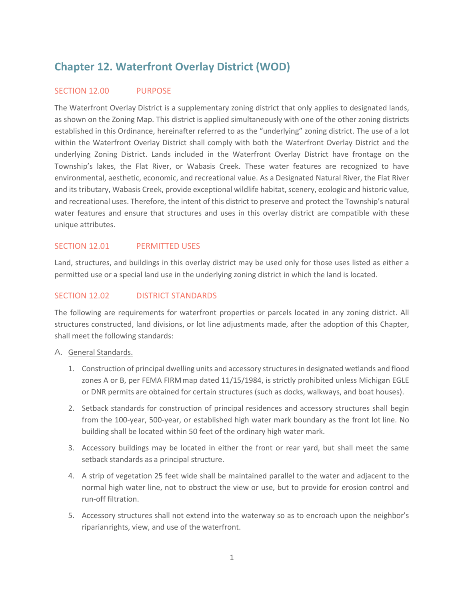# **Chapter 12. Waterfront Overlay District (WOD)**

## SECTION 12.00 PURPOSE

The Waterfront Overlay District is a supplementary zoning district that only applies to designated lands, as shown on the Zoning Map. This district is applied simultaneously with one of the other zoning districts established in this Ordinance, hereinafter referred to as the "underlying" zoning district. The use of a lot within the Waterfront Overlay District shall comply with both the Waterfront Overlay District and the underlying Zoning District. Lands included in the Waterfront Overlay District have frontage on the Township's lakes, the Flat River, or Wabasis Creek. These water features are recognized to have environmental, aesthetic, economic, and recreational value. As a Designated Natural River, the Flat River and its tributary, Wabasis Creek, provide exceptional wildlife habitat, scenery, ecologic and historic value, and recreational uses. Therefore, the intent of this district to preserve and protect the Township's natural water features and ensure that structures and uses in this overlay district are compatible with these unique attributes.

## SECTION 12.01 PERMITTED USES

Land, structures, and buildings in this overlay district may be used only for those uses listed as either a permitted use or a special land use in the underlying zoning district in which the land is located.

## SECTION 12.02 DISTRICT STANDARDS

The following are requirements for waterfront properties or parcels located in any zoning district. All structures constructed, land divisions, or lot line adjustments made, after the adoption of this Chapter, shall meet the following standards:

#### A. General Standards.

- 1. Construction of principal dwelling units and accessory structures in designated wetlands and flood zones A or B, per FEMA FIRMmap dated 11/15/1984, is strictly prohibited unless Michigan EGLE or DNR permits are obtained for certain structures (such as docks, walkways, and boat houses).
- 2. Setback standards for construction of principal residences and accessory structures shall begin from the 100-year, 500-year, or established high water mark boundary as the front lot line. No building shall be located within 50 feet of the ordinary high water mark.
- 3. Accessory buildings may be located in either the front or rear yard, but shall meet the same setback standards as a principal structure.
- 4. A strip of vegetation 25 feet wide shall be maintained parallel to the water and adjacent to the normal high water line, not to obstruct the view or use, but to provide for erosion control and run-off filtration.
- 5. Accessory structures shall not extend into the waterway so as to encroach upon the neighbor's riparianrights, view, and use of the waterfront.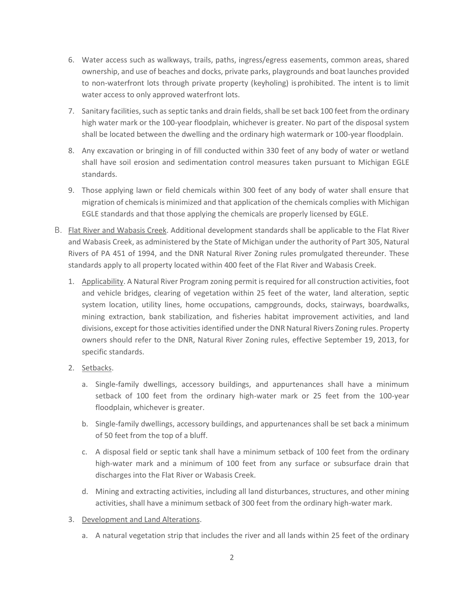- 6. Water access such as walkways, trails, paths, ingress/egress easements, common areas, shared ownership, and use of beaches and docks, private parks, playgrounds and boat launches provided to non-waterfront lots through private property (keyholing) isprohibited. The intent is to limit water access to only approved waterfront lots.
- 7. Sanitary facilities, such as septic tanks and drain fields, shall be set back 100 feet from the ordinary high water mark or the 100-year floodplain, whichever is greater. No part of the disposal system shall be located between the dwelling and the ordinary high watermark or 100-year floodplain.
- 8. Any excavation or bringing in of fill conducted within 330 feet of any body of water or wetland shall have soil erosion and sedimentation control measures taken pursuant to Michigan EGLE standards.
- 9. Those applying lawn or field chemicals within 300 feet of any body of water shall ensure that migration of chemicalsis minimized and that application of the chemicals complies with Michigan EGLE standards and that those applying the chemicals are properly licensed by EGLE.
- B. Flat River and Wabasis Creek. Additional development standards shall be applicable to the Flat River and Wabasis Creek, as administered by the State of Michigan under the authority of Part 305, Natural Rivers of PA 451 of 1994, and the DNR Natural River Zoning rules promulgated thereunder. These standards apply to all property located within 400 feet of the Flat River and Wabasis Creek.
	- 1. Applicability. A Natural River Program zoning permit is required for all construction activities, foot and vehicle bridges, clearing of vegetation within 25 feet of the water, land alteration, septic system location, utility lines, home occupations, campgrounds, docks, stairways, boardwalks, mining extraction, bank stabilization, and fisheries habitat improvement activities, and land divisions, except for those activities identified under the DNR Natural Rivers Zoning rules. Property owners should refer to the DNR, Natural River Zoning rules, effective September 19, 2013, for specific standards.
	- 2. Setbacks.
		- a. Single-family dwellings, accessory buildings, and appurtenances shall have a minimum setback of 100 feet from the ordinary high-water mark or 25 feet from the 100-year floodplain, whichever is greater.
		- b. Single-family dwellings, accessory buildings, and appurtenances shall be set back a minimum of 50 feet from the top of a bluff.
		- c. A disposal field or septic tank shall have a minimum setback of 100 feet from the ordinary high-water mark and a minimum of 100 feet from any surface or subsurface drain that discharges into the Flat River or Wabasis Creek.
		- d. Mining and extracting activities, including all land disturbances, structures, and other mining activities, shall have a minimum setback of 300 feet from the ordinary high-water mark.
	- 3. Development and Land Alterations.
		- a. A natural vegetation strip that includes the river and all lands within 25 feet of the ordinary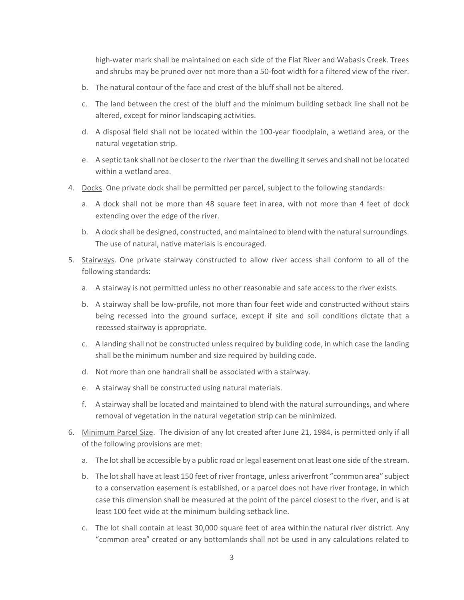high-water mark shall be maintained on each side of the Flat River and Wabasis Creek. Trees and shrubs may be pruned over not more than a 50-foot width for a filtered view of the river.

- b. The natural contour of the face and crest of the bluff shall not be altered.
- c. The land between the crest of the bluff and the minimum building setback line shall not be altered, except for minor landscaping activities.
- d. A disposal field shall not be located within the 100-year floodplain, a wetland area, or the natural vegetation strip.
- e. A septic tank shall not be closer to the river than the dwelling it serves and shall not be located within a wetland area.
- 4. Docks. One private dock shall be permitted per parcel, subject to the following standards:
	- a. A dock shall not be more than 48 square feet in area, with not more than 4 feet of dock extending over the edge of the river.
	- b. A dock shall be designed, constructed, and maintained to blend with the natural surroundings. The use of natural, native materials is encouraged.
- 5. Stairways. One private stairway constructed to allow river access shall conform to all of the following standards:
	- a. A stairway is not permitted unless no other reasonable and safe access to the river exists.
	- b. A stairway shall be low-profile, not more than four feet wide and constructed without stairs being recessed into the ground surface, except if site and soil conditions dictate that a recessed stairway is appropriate.
	- c. A landing shall not be constructed unless required by building code, in which case the landing shall be the minimum number and size required by building code.
	- d. Not more than one handrail shall be associated with a stairway.
	- e. A stairway shall be constructed using natural materials.
	- f. A stairway shall be located and maintained to blend with the natural surroundings, and where removal of vegetation in the natural vegetation strip can be minimized.
- 6. Minimum Parcel Size. The division of any lot created after June 21, 1984, is permitted only if all of the following provisions are met:
	- a. The lot shall be accessible by a public road or legal easement onat least one side of the stream.
	- b. The lot shall have at least 150 feet of river frontage, unless ariverfront "common area" subject to a conservation easement is established, or a parcel does not have river frontage, in which case this dimension shall be measured at the point of the parcel closest to the river, and is at least 100 feet wide at the minimum building setback line.
	- c. The lot shall contain at least 30,000 square feet of area within the natural river district. Any "common area" created or any bottomlands shall not be used in any calculations related to